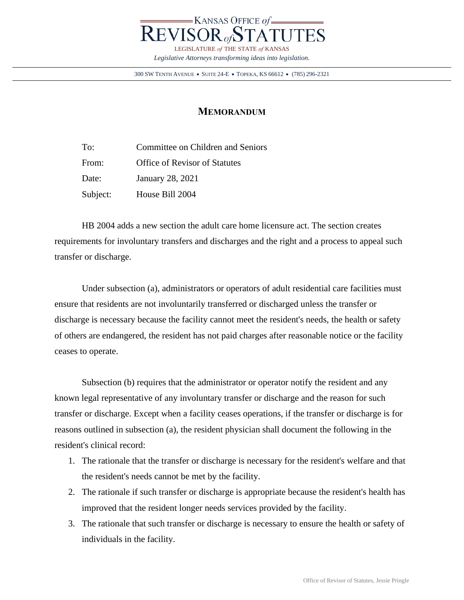

300 SW TENTH AVENUE • SUITE 24-E • TOPEKA, KS 66612 • (785) 296-2321

## **MEMORANDUM**

To: Committee on Children and Seniors From: Office of Revisor of Statutes Date: January 28, 2021 Subject: House Bill 2004

HB 2004 adds a new section the adult care home licensure act. The section creates requirements for involuntary transfers and discharges and the right and a process to appeal such transfer or discharge.

Under subsection (a), administrators or operators of adult residential care facilities must ensure that residents are not involuntarily transferred or discharged unless the transfer or discharge is necessary because the facility cannot meet the resident's needs, the health or safety of others are endangered, the resident has not paid charges after reasonable notice or the facility ceases to operate.

Subsection (b) requires that the administrator or operator notify the resident and any known legal representative of any involuntary transfer or discharge and the reason for such transfer or discharge. Except when a facility ceases operations, if the transfer or discharge is for reasons outlined in subsection (a), the resident physician shall document the following in the resident's clinical record:

- 1. The rationale that the transfer or discharge is necessary for the resident's welfare and that the resident's needs cannot be met by the facility.
- 2. The rationale if such transfer or discharge is appropriate because the resident's health has improved that the resident longer needs services provided by the facility.
- 3. The rationale that such transfer or discharge is necessary to ensure the health or safety of individuals in the facility.